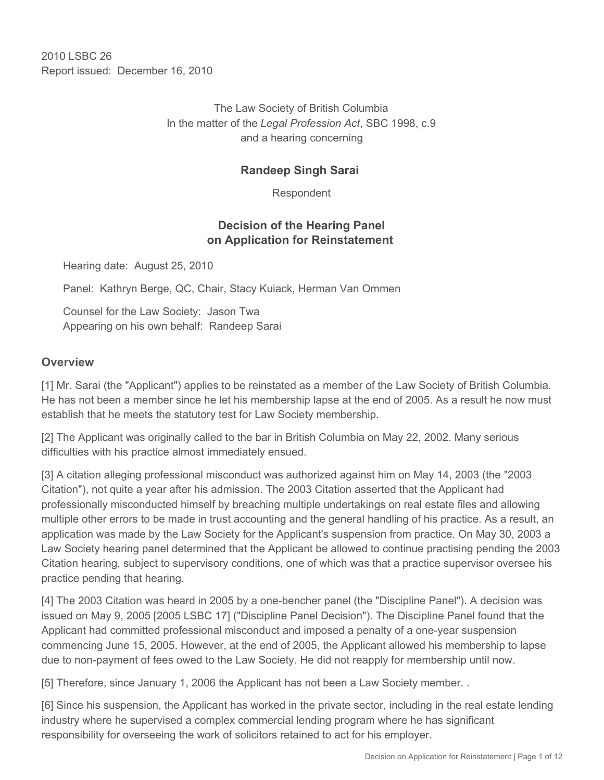2010 LSBC 26 Report issued: December 16, 2010

> The Law Society of British Columbia In the matter of the *Legal Profession Act*, SBC 1998, c.9 and a hearing concerning

# **Randeep Singh Sarai**

Respondent

# **Decision of the Hearing Panel on Application for Reinstatement**

Hearing date: August 25, 2010

Panel: Kathryn Berge, QC, Chair, Stacy Kuiack, Herman Van Ommen

Counsel for the Law Society: Jason Twa Appearing on his own behalf: Randeep Sarai

#### **Overview**

[1] Mr. Sarai (the "Applicant") applies to be reinstated as a member of the Law Society of British Columbia. He has not been a member since he let his membership lapse at the end of 2005. As a result he now must establish that he meets the statutory test for Law Society membership.

[2] The Applicant was originally called to the bar in British Columbia on May 22, 2002. Many serious difficulties with his practice almost immediately ensued.

[3] A citation alleging professional misconduct was authorized against him on May 14, 2003 (the "2003 Citation"), not quite a year after his admission. The 2003 Citation asserted that the Applicant had professionally misconducted himself by breaching multiple undertakings on real estate files and allowing multiple other errors to be made in trust accounting and the general handling of his practice. As a result, an application was made by the Law Society for the Applicant's suspension from practice. On May 30, 2003 a Law Society hearing panel determined that the Applicant be allowed to continue practising pending the 2003 Citation hearing, subject to supervisory conditions, one of which was that a practice supervisor oversee his practice pending that hearing.

[4] The 2003 Citation was heard in 2005 by a one-bencher panel (the "Discipline Panel"). A decision was issued on May 9, 2005 [2005 LSBC 17] ("Discipline Panel Decision"). The Discipline Panel found that the Applicant had committed professional misconduct and imposed a penalty of a one-year suspension commencing June 15, 2005. However, at the end of 2005, the Applicant allowed his membership to lapse due to non-payment of fees owed to the Law Society. He did not reapply for membership until now.

[5] Therefore, since January 1, 2006 the Applicant has not been a Law Society member. .

[6] Since his suspension, the Applicant has worked in the private sector, including in the real estate lending industry where he supervised a complex commercial lending program where he has significant responsibility for overseeing the work of solicitors retained to act for his employer.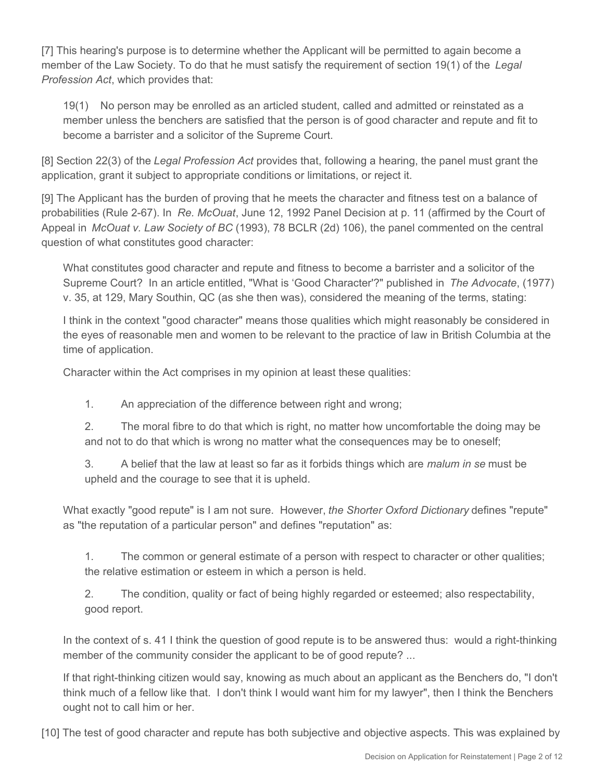[7] This hearing's purpose is to determine whether the Applicant will be permitted to again become a member of the Law Society. To do that he must satisfy the requirement of section 19(1) of the *Legal Profession Act*, which provides that:

19(1) No person may be enrolled as an articled student, called and admitted or reinstated as a member unless the benchers are satisfied that the person is of good character and repute and fit to become a barrister and a solicitor of the Supreme Court.

[8] Section 22(3) of the *Legal Profession Act* provides that, following a hearing, the panel must grant the application, grant it subject to appropriate conditions or limitations, or reject it.

[9] The Applicant has the burden of proving that he meets the character and fitness test on a balance of probabilities (Rule 2-67). In *Re. McOuat*, June 12, 1992 Panel Decision at p. 11 (affirmed by the Court of Appeal in *McOuat v. Law Society of BC* (1993), 78 BCLR (2d) 106), the panel commented on the central question of what constitutes good character:

What constitutes good character and repute and fitness to become a barrister and a solicitor of the Supreme Court? In an article entitled, "What is 'Good Character'?" published in *The Advocate*, (1977) v. 35, at 129, Mary Southin, QC (as she then was), considered the meaning of the terms, stating:

I think in the context "good character" means those qualities which might reasonably be considered in the eyes of reasonable men and women to be relevant to the practice of law in British Columbia at the time of application.

Character within the Act comprises in my opinion at least these qualities:

1. An appreciation of the difference between right and wrong;

2. The moral fibre to do that which is right, no matter how uncomfortable the doing may be and not to do that which is wrong no matter what the consequences may be to oneself;

3. A belief that the law at least so far as it forbids things which are *malum in se* must be upheld and the courage to see that it is upheld.

What exactly "good repute" is I am not sure. However, *the Shorter Oxford Dictionary* defines "repute" as "the reputation of a particular person" and defines "reputation" as:

1. The common or general estimate of a person with respect to character or other qualities; the relative estimation or esteem in which a person is held.

2. The condition, quality or fact of being highly regarded or esteemed; also respectability, good report.

In the context of s. 41 I think the question of good repute is to be answered thus: would a right-thinking member of the community consider the applicant to be of good repute? ...

If that right-thinking citizen would say, knowing as much about an applicant as the Benchers do, "I don't think much of a fellow like that. I don't think I would want him for my lawyer", then I think the Benchers ought not to call him or her.

[10] The test of good character and repute has both subjective and objective aspects. This was explained by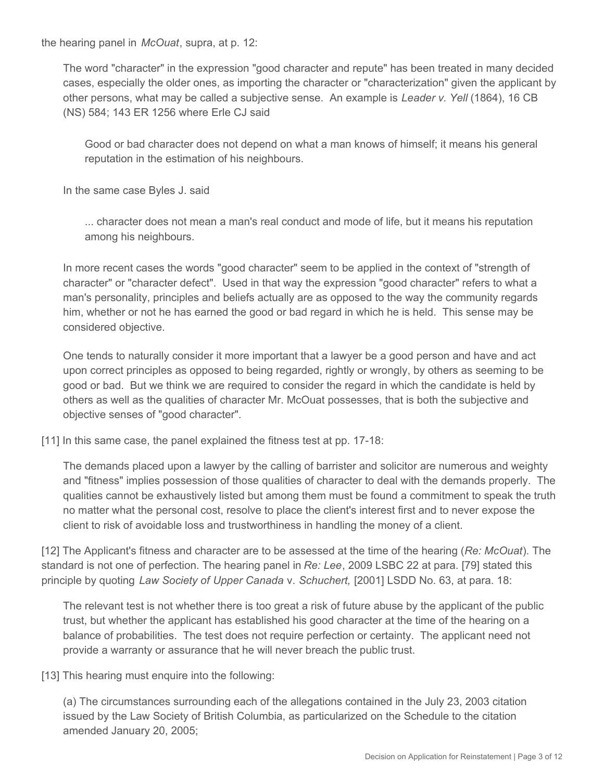the hearing panel in *McOuat*, supra, at p. 12:

The word "character" in the expression "good character and repute" has been treated in many decided cases, especially the older ones, as importing the character or "characterization" given the applicant by other persons, what may be called a subjective sense. An example is *Leader v. Yell* (1864), 16 CB (NS) 584; 143 ER 1256 where Erle CJ said

Good or bad character does not depend on what a man knows of himself; it means his general reputation in the estimation of his neighbours.

In the same case Byles J. said

... character does not mean a man's real conduct and mode of life, but it means his reputation among his neighbours.

In more recent cases the words "good character" seem to be applied in the context of "strength of character" or "character defect". Used in that way the expression "good character" refers to what a man's personality, principles and beliefs actually are as opposed to the way the community regards him, whether or not he has earned the good or bad regard in which he is held. This sense may be considered objective.

One tends to naturally consider it more important that a lawyer be a good person and have and act upon correct principles as opposed to being regarded, rightly or wrongly, by others as seeming to be good or bad. But we think we are required to consider the regard in which the candidate is held by others as well as the qualities of character Mr. McOuat possesses, that is both the subjective and objective senses of "good character".

[11] In this same case, the panel explained the fitness test at pp. 17-18:

The demands placed upon a lawyer by the calling of barrister and solicitor are numerous and weighty and "fitness" implies possession of those qualities of character to deal with the demands properly. The qualities cannot be exhaustively listed but among them must be found a commitment to speak the truth no matter what the personal cost, resolve to place the client's interest first and to never expose the client to risk of avoidable loss and trustworthiness in handling the money of a client.

[12] The Applicant's fitness and character are to be assessed at the time of the hearing (*Re: McOuat*). The standard is not one of perfection. The hearing panel in *Re: Lee*, 2009 LSBC 22 at para. [79] stated this principle by quoting *Law Society of Upper Canada* v. *Schuchert,* [2001] LSDD No. 63, at para. 18:

The relevant test is not whether there is too great a risk of future abuse by the applicant of the public trust, but whether the applicant has established his good character at the time of the hearing on a balance of probabilities. The test does not require perfection or certainty. The applicant need not provide a warranty or assurance that he will never breach the public trust.

[13] This hearing must enquire into the following:

(a) The circumstances surrounding each of the allegations contained in the July 23, 2003 citation issued by the Law Society of British Columbia, as particularized on the Schedule to the citation amended January 20, 2005;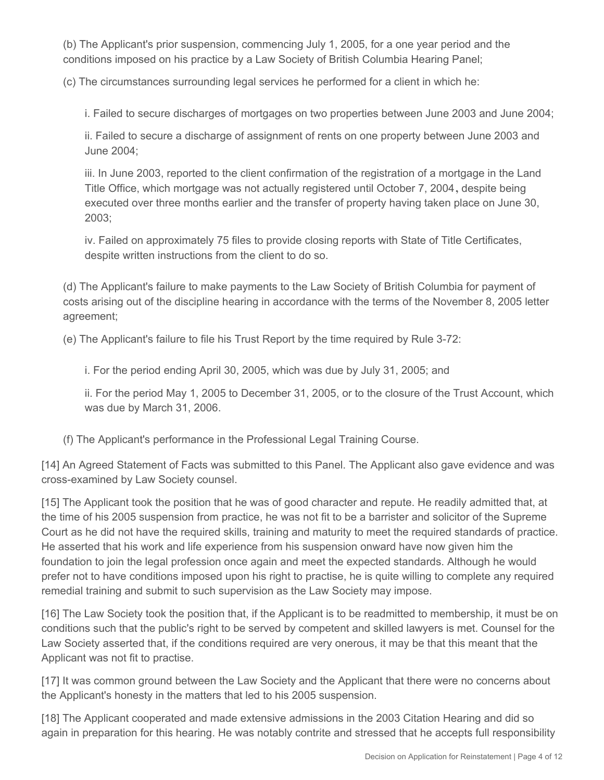(b) The Applicant's prior suspension, commencing July 1, 2005, for a one year period and the conditions imposed on his practice by a Law Society of British Columbia Hearing Panel;

(c) The circumstances surrounding legal services he performed for a client in which he:

i. Failed to secure discharges of mortgages on two properties between June 2003 and June 2004;

ii. Failed to secure a discharge of assignment of rents on one property between June 2003 and June 2004;

iii. In June 2003, reported to the client confirmation of the registration of a mortgage in the Land Title Office, which mortgage was not actually registered until October 7, 2004**,** despite being executed over three months earlier and the transfer of property having taken place on June 30, 2003;

iv. Failed on approximately 75 files to provide closing reports with State of Title Certificates, despite written instructions from the client to do so.

(d) The Applicant's failure to make payments to the Law Society of British Columbia for payment of costs arising out of the discipline hearing in accordance with the terms of the November 8, 2005 letter agreement;

(e) The Applicant's failure to file his Trust Report by the time required by Rule 3-72:

i. For the period ending April 30, 2005, which was due by July 31, 2005; and

ii. For the period May 1, 2005 to December 31, 2005, or to the closure of the Trust Account, which was due by March 31, 2006.

(f) The Applicant's performance in the Professional Legal Training Course.

[14] An Agreed Statement of Facts was submitted to this Panel. The Applicant also gave evidence and was cross-examined by Law Society counsel.

[15] The Applicant took the position that he was of good character and repute. He readily admitted that, at the time of his 2005 suspension from practice, he was not fit to be a barrister and solicitor of the Supreme Court as he did not have the required skills, training and maturity to meet the required standards of practice. He asserted that his work and life experience from his suspension onward have now given him the foundation to join the legal profession once again and meet the expected standards. Although he would prefer not to have conditions imposed upon his right to practise, he is quite willing to complete any required remedial training and submit to such supervision as the Law Society may impose.

[16] The Law Society took the position that, if the Applicant is to be readmitted to membership, it must be on conditions such that the public's right to be served by competent and skilled lawyers is met. Counsel for the Law Society asserted that, if the conditions required are very onerous, it may be that this meant that the Applicant was not fit to practise.

[17] It was common ground between the Law Society and the Applicant that there were no concerns about the Applicant's honesty in the matters that led to his 2005 suspension.

[18] The Applicant cooperated and made extensive admissions in the 2003 Citation Hearing and did so again in preparation for this hearing. He was notably contrite and stressed that he accepts full responsibility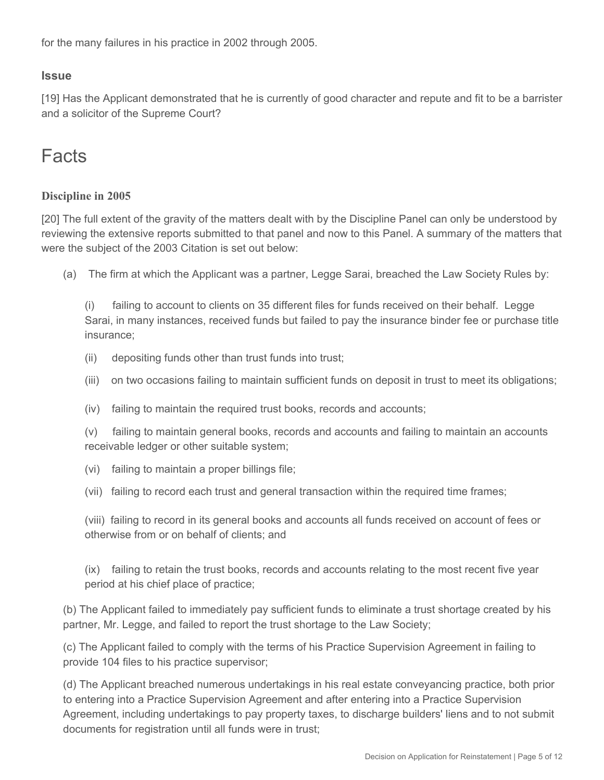for the many failures in his practice in 2002 through 2005.

# **Issue**

[19] Has the Applicant demonstrated that he is currently of good character and repute and fit to be a barrister and a solicitor of the Supreme Court?

# Facts

#### **Discipline in 2005**

[20] The full extent of the gravity of the matters dealt with by the Discipline Panel can only be understood by reviewing the extensive reports submitted to that panel and now to this Panel. A summary of the matters that were the subject of the 2003 Citation is set out below:

(a) The firm at which the Applicant was a partner, Legge Sarai, breached the Law Society Rules by:

(i) failing to account to clients on 35 different files for funds received on their behalf. Legge Sarai, in many instances, received funds but failed to pay the insurance binder fee or purchase title insurance;

- (ii) depositing funds other than trust funds into trust;
- (iii) on two occasions failing to maintain sufficient funds on deposit in trust to meet its obligations;
- (iv) failing to maintain the required trust books, records and accounts;

(v) failing to maintain general books, records and accounts and failing to maintain an accounts receivable ledger or other suitable system;

- (vi) failing to maintain a proper billings file;
- (vii) failing to record each trust and general transaction within the required time frames;

(viii) failing to record in its general books and accounts all funds received on account of fees or otherwise from or on behalf of clients; and

(ix) failing to retain the trust books, records and accounts relating to the most recent five year period at his chief place of practice;

(b) The Applicant failed to immediately pay sufficient funds to eliminate a trust shortage created by his partner, Mr. Legge, and failed to report the trust shortage to the Law Society;

(c) The Applicant failed to comply with the terms of his Practice Supervision Agreement in failing to provide 104 files to his practice supervisor;

(d) The Applicant breached numerous undertakings in his real estate conveyancing practice, both prior to entering into a Practice Supervision Agreement and after entering into a Practice Supervision Agreement, including undertakings to pay property taxes, to discharge builders' liens and to not submit documents for registration until all funds were in trust;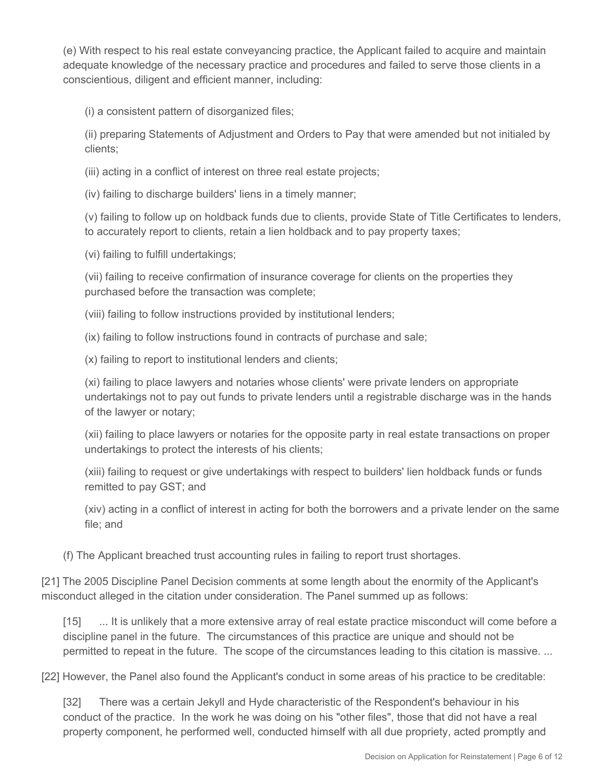(e) With respect to his real estate conveyancing practice, the Applicant failed to acquire and maintain adequate knowledge of the necessary practice and procedures and failed to serve those clients in a conscientious, diligent and efficient manner, including:

(i) a consistent pattern of disorganized files;

(ii) preparing Statements of Adjustment and Orders to Pay that were amended but not initialed by clients;

(iii) acting in a conflict of interest on three real estate projects;

(iv) failing to discharge builders' liens in a timely manner;

(v) failing to follow up on holdback funds due to clients, provide State of Title Certificates to lenders, to accurately report to clients, retain a lien holdback and to pay property taxes;

(vi) failing to fulfill undertakings;

(vii) failing to receive confirmation of insurance coverage for clients on the properties they purchased before the transaction was complete;

(viii) failing to follow instructions provided by institutional lenders;

(ix) failing to follow instructions found in contracts of purchase and sale;

(x) failing to report to institutional lenders and clients;

(xi) failing to place lawyers and notaries whose clients' were private lenders on appropriate undertakings not to pay out funds to private lenders until a registrable discharge was in the hands of the lawyer or notary;

(xii) failing to place lawyers or notaries for the opposite party in real estate transactions on proper undertakings to protect the interests of his clients;

(xiii) failing to request or give undertakings with respect to builders' lien holdback funds or funds remitted to pay GST; and

(xiv) acting in a conflict of interest in acting for both the borrowers and a private lender on the same file; and

(f) The Applicant breached trust accounting rules in failing to report trust shortages.

[21] The 2005 Discipline Panel Decision comments at some length about the enormity of the Applicant's misconduct alleged in the citation under consideration. The Panel summed up as follows:

[15] ... It is unlikely that a more extensive array of real estate practice misconduct will come before a discipline panel in the future. The circumstances of this practice are unique and should not be permitted to repeat in the future. The scope of the circumstances leading to this citation is massive. ...

[22] However, the Panel also found the Applicant's conduct in some areas of his practice to be creditable:

[32] There was a certain Jekyll and Hyde characteristic of the Respondent's behaviour in his conduct of the practice. In the work he was doing on his "other files", those that did not have a real property component, he performed well, conducted himself with all due propriety, acted promptly and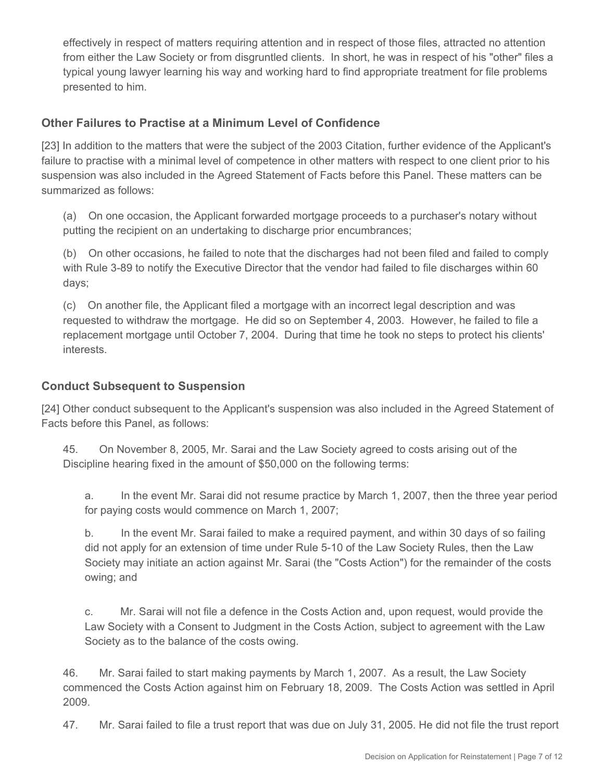effectively in respect of matters requiring attention and in respect of those files, attracted no attention from either the Law Society or from disgruntled clients. In short, he was in respect of his "other" files a typical young lawyer learning his way and working hard to find appropriate treatment for file problems presented to him.

# **Other Failures to Practise at a Minimum Level of Confidence**

[23] In addition to the matters that were the subject of the 2003 Citation, further evidence of the Applicant's failure to practise with a minimal level of competence in other matters with respect to one client prior to his suspension was also included in the Agreed Statement of Facts before this Panel. These matters can be summarized as follows:

(a) On one occasion, the Applicant forwarded mortgage proceeds to a purchaser's notary without putting the recipient on an undertaking to discharge prior encumbrances;

(b) On other occasions, he failed to note that the discharges had not been filed and failed to comply with Rule 3-89 to notify the Executive Director that the vendor had failed to file discharges within 60 days;

(c) On another file, the Applicant filed a mortgage with an incorrect legal description and was requested to withdraw the mortgage. He did so on September 4, 2003. However, he failed to file a replacement mortgage until October 7, 2004. During that time he took no steps to protect his clients' interests.

# **Conduct Subsequent to Suspension**

[24] Other conduct subsequent to the Applicant's suspension was also included in the Agreed Statement of Facts before this Panel, as follows:

45. On November 8, 2005, Mr. Sarai and the Law Society agreed to costs arising out of the Discipline hearing fixed in the amount of \$50,000 on the following terms:

a. In the event Mr. Sarai did not resume practice by March 1, 2007, then the three year period for paying costs would commence on March 1, 2007;

b. In the event Mr. Sarai failed to make a required payment, and within 30 days of so failing did not apply for an extension of time under Rule 5-10 of the Law Society Rules, then the Law Society may initiate an action against Mr. Sarai (the "Costs Action") for the remainder of the costs owing; and

c. Mr. Sarai will not file a defence in the Costs Action and, upon request, would provide the Law Society with a Consent to Judgment in the Costs Action, subject to agreement with the Law Society as to the balance of the costs owing.

46. Mr. Sarai failed to start making payments by March 1, 2007. As a result, the Law Society commenced the Costs Action against him on February 18, 2009. The Costs Action was settled in April 2009.

47. Mr. Sarai failed to file a trust report that was due on July 31, 2005. He did not file the trust report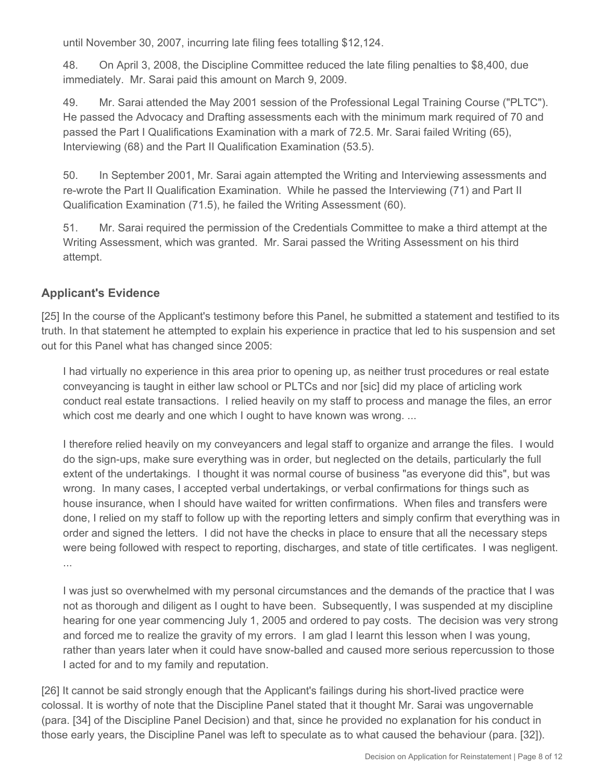until November 30, 2007, incurring late filing fees totalling \$12,124.

48. On April 3, 2008, the Discipline Committee reduced the late filing penalties to \$8,400, due immediately. Mr. Sarai paid this amount on March 9, 2009.

49. Mr. Sarai attended the May 2001 session of the Professional Legal Training Course ("PLTC"). He passed the Advocacy and Drafting assessments each with the minimum mark required of 70 and passed the Part I Qualifications Examination with a mark of 72.5. Mr. Sarai failed Writing (65), Interviewing (68) and the Part II Qualification Examination (53.5).

50. In September 2001, Mr. Sarai again attempted the Writing and Interviewing assessments and re-wrote the Part II Qualification Examination. While he passed the Interviewing (71) and Part II Qualification Examination (71.5), he failed the Writing Assessment (60).

51. Mr. Sarai required the permission of the Credentials Committee to make a third attempt at the Writing Assessment, which was granted. Mr. Sarai passed the Writing Assessment on his third attempt.

# **Applicant's Evidence**

[25] In the course of the Applicant's testimony before this Panel, he submitted a statement and testified to its truth. In that statement he attempted to explain his experience in practice that led to his suspension and set out for this Panel what has changed since 2005:

I had virtually no experience in this area prior to opening up, as neither trust procedures or real estate conveyancing is taught in either law school or PLTCs and nor [sic] did my place of articling work conduct real estate transactions. I relied heavily on my staff to process and manage the files, an error which cost me dearly and one which I ought to have known was wrong. ...

I therefore relied heavily on my conveyancers and legal staff to organize and arrange the files. I would do the sign-ups, make sure everything was in order, but neglected on the details, particularly the full extent of the undertakings. I thought it was normal course of business "as everyone did this", but was wrong. In many cases, I accepted verbal undertakings, or verbal confirmations for things such as house insurance, when I should have waited for written confirmations. When files and transfers were done, I relied on my staff to follow up with the reporting letters and simply confirm that everything was in order and signed the letters. I did not have the checks in place to ensure that all the necessary steps were being followed with respect to reporting, discharges, and state of title certificates. I was negligent. ...

I was just so overwhelmed with my personal circumstances and the demands of the practice that I was not as thorough and diligent as I ought to have been. Subsequently, I was suspended at my discipline hearing for one year commencing July 1, 2005 and ordered to pay costs. The decision was very strong and forced me to realize the gravity of my errors. I am glad I learnt this lesson when I was young, rather than years later when it could have snow-balled and caused more serious repercussion to those I acted for and to my family and reputation.

[26] It cannot be said strongly enough that the Applicant's failings during his short-lived practice were colossal. It is worthy of note that the Discipline Panel stated that it thought Mr. Sarai was ungovernable (para. [34] of the Discipline Panel Decision) and that, since he provided no explanation for his conduct in those early years, the Discipline Panel was left to speculate as to what caused the behaviour (para. [32]).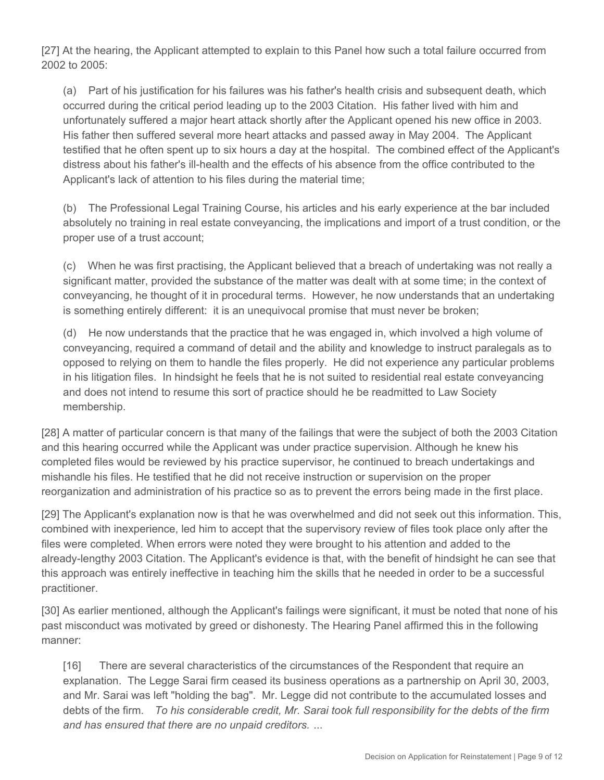[27] At the hearing, the Applicant attempted to explain to this Panel how such a total failure occurred from 2002 to 2005:

(a) Part of his justification for his failures was his father's health crisis and subsequent death, which occurred during the critical period leading up to the 2003 Citation. His father lived with him and unfortunately suffered a major heart attack shortly after the Applicant opened his new office in 2003. His father then suffered several more heart attacks and passed away in May 2004. The Applicant testified that he often spent up to six hours a day at the hospital. The combined effect of the Applicant's distress about his father's ill-health and the effects of his absence from the office contributed to the Applicant's lack of attention to his files during the material time;

(b) The Professional Legal Training Course, his articles and his early experience at the bar included absolutely no training in real estate conveyancing, the implications and import of a trust condition, or the proper use of a trust account;

(c) When he was first practising, the Applicant believed that a breach of undertaking was not really a significant matter, provided the substance of the matter was dealt with at some time; in the context of conveyancing, he thought of it in procedural terms. However, he now understands that an undertaking is something entirely different: it is an unequivocal promise that must never be broken;

(d) He now understands that the practice that he was engaged in, which involved a high volume of conveyancing, required a command of detail and the ability and knowledge to instruct paralegals as to opposed to relying on them to handle the files properly. He did not experience any particular problems in his litigation files. In hindsight he feels that he is not suited to residential real estate conveyancing and does not intend to resume this sort of practice should he be readmitted to Law Society membership.

[28] A matter of particular concern is that many of the failings that were the subject of both the 2003 Citation and this hearing occurred while the Applicant was under practice supervision. Although he knew his completed files would be reviewed by his practice supervisor, he continued to breach undertakings and mishandle his files. He testified that he did not receive instruction or supervision on the proper reorganization and administration of his practice so as to prevent the errors being made in the first place.

[29] The Applicant's explanation now is that he was overwhelmed and did not seek out this information. This, combined with inexperience, led him to accept that the supervisory review of files took place only after the files were completed. When errors were noted they were brought to his attention and added to the already-lengthy 2003 Citation. The Applicant's evidence is that, with the benefit of hindsight he can see that this approach was entirely ineffective in teaching him the skills that he needed in order to be a successful practitioner.

[30] As earlier mentioned, although the Applicant's failings were significant, it must be noted that none of his past misconduct was motivated by greed or dishonesty. The Hearing Panel affirmed this in the following manner:

[16] There are several characteristics of the circumstances of the Respondent that require an explanation. The Legge Sarai firm ceased its business operations as a partnership on April 30, 2003, and Mr. Sarai was left "holding the bag". Mr. Legge did not contribute to the accumulated losses and debts of the firm. *To his considerable credit, Mr. Sarai took full responsibility for the debts of the firm and has ensured that there are no unpaid creditors.* ...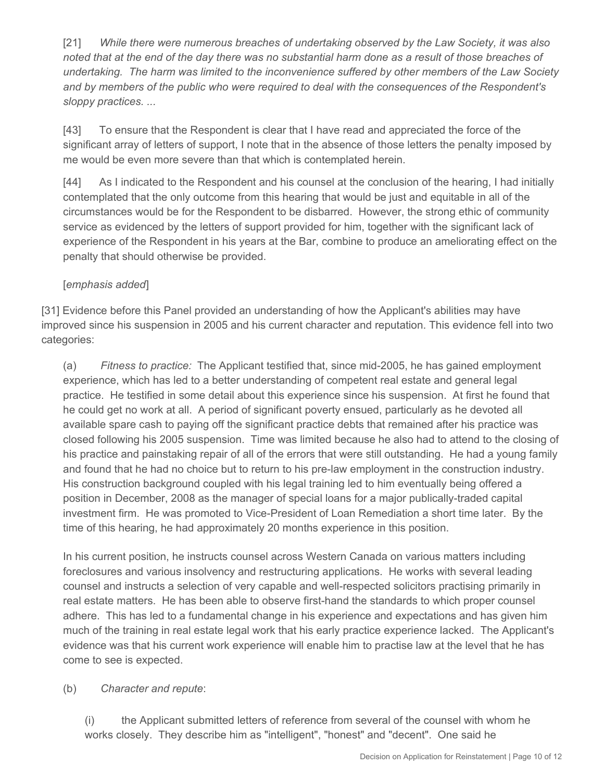[21] *While there were numerous breaches of undertaking observed by the Law Society, it was also noted that at the end of the day there was no substantial harm done as a result of those breaches of undertaking. The harm was limited to the inconvenience suffered by other members of the Law Society and by members of the public who were required to deal with the consequences of the Respondent's sloppy practices. ...*

[43] To ensure that the Respondent is clear that I have read and appreciated the force of the significant array of letters of support, I note that in the absence of those letters the penalty imposed by me would be even more severe than that which is contemplated herein.

[44] As I indicated to the Respondent and his counsel at the conclusion of the hearing, I had initially contemplated that the only outcome from this hearing that would be just and equitable in all of the circumstances would be for the Respondent to be disbarred. However, the strong ethic of community service as evidenced by the letters of support provided for him, together with the significant lack of experience of the Respondent in his years at the Bar, combine to produce an ameliorating effect on the penalty that should otherwise be provided.

### [*emphasis added*]

[31] Evidence before this Panel provided an understanding of how the Applicant's abilities may have improved since his suspension in 2005 and his current character and reputation. This evidence fell into two categories:

(a) *Fitness to practice:* The Applicant testified that, since mid-2005, he has gained employment experience, which has led to a better understanding of competent real estate and general legal practice. He testified in some detail about this experience since his suspension. At first he found that he could get no work at all. A period of significant poverty ensued, particularly as he devoted all available spare cash to paying off the significant practice debts that remained after his practice was closed following his 2005 suspension. Time was limited because he also had to attend to the closing of his practice and painstaking repair of all of the errors that were still outstanding. He had a young family and found that he had no choice but to return to his pre-law employment in the construction industry. His construction background coupled with his legal training led to him eventually being offered a position in December, 2008 as the manager of special loans for a major publically-traded capital investment firm. He was promoted to Vice-President of Loan Remediation a short time later. By the time of this hearing, he had approximately 20 months experience in this position.

In his current position, he instructs counsel across Western Canada on various matters including foreclosures and various insolvency and restructuring applications. He works with several leading counsel and instructs a selection of very capable and well-respected solicitors practising primarily in real estate matters. He has been able to observe first-hand the standards to which proper counsel adhere. This has led to a fundamental change in his experience and expectations and has given him much of the training in real estate legal work that his early practice experience lacked. The Applicant's evidence was that his current work experience will enable him to practise law at the level that he has come to see is expected.

#### (b) *Character and repute*:

(i) the Applicant submitted letters of reference from several of the counsel with whom he works closely. They describe him as "intelligent", "honest" and "decent". One said he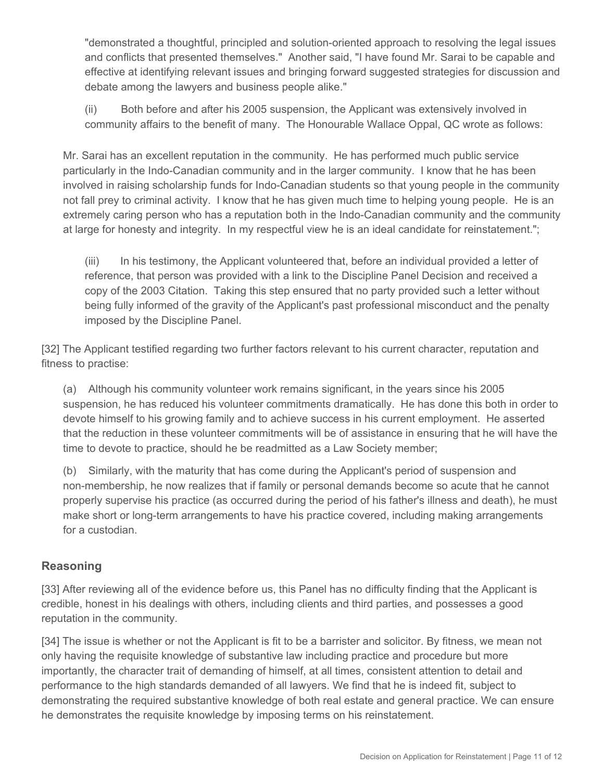"demonstrated a thoughtful, principled and solution-oriented approach to resolving the legal issues and conflicts that presented themselves." Another said, "I have found Mr. Sarai to be capable and effective at identifying relevant issues and bringing forward suggested strategies for discussion and debate among the lawyers and business people alike."

(ii) Both before and after his 2005 suspension, the Applicant was extensively involved in community affairs to the benefit of many. The Honourable Wallace Oppal, QC wrote as follows:

Mr. Sarai has an excellent reputation in the community. He has performed much public service particularly in the Indo-Canadian community and in the larger community. I know that he has been involved in raising scholarship funds for Indo-Canadian students so that young people in the community not fall prey to criminal activity. I know that he has given much time to helping young people. He is an extremely caring person who has a reputation both in the Indo-Canadian community and the community at large for honesty and integrity. In my respectful view he is an ideal candidate for reinstatement.";

(iii) In his testimony, the Applicant volunteered that, before an individual provided a letter of reference, that person was provided with a link to the Discipline Panel Decision and received a copy of the 2003 Citation. Taking this step ensured that no party provided such a letter without being fully informed of the gravity of the Applicant's past professional misconduct and the penalty imposed by the Discipline Panel.

[32] The Applicant testified regarding two further factors relevant to his current character, reputation and fitness to practise:

(a) Although his community volunteer work remains significant, in the years since his 2005 suspension, he has reduced his volunteer commitments dramatically. He has done this both in order to devote himself to his growing family and to achieve success in his current employment. He asserted that the reduction in these volunteer commitments will be of assistance in ensuring that he will have the time to devote to practice, should he be readmitted as a Law Society member;

(b) Similarly, with the maturity that has come during the Applicant's period of suspension and non-membership, he now realizes that if family or personal demands become so acute that he cannot properly supervise his practice (as occurred during the period of his father's illness and death), he must make short or long-term arrangements to have his practice covered, including making arrangements for a custodian.

# **Reasoning**

[33] After reviewing all of the evidence before us, this Panel has no difficulty finding that the Applicant is credible, honest in his dealings with others, including clients and third parties, and possesses a good reputation in the community.

[34] The issue is whether or not the Applicant is fit to be a barrister and solicitor. By fitness, we mean not only having the requisite knowledge of substantive law including practice and procedure but more importantly, the character trait of demanding of himself, at all times, consistent attention to detail and performance to the high standards demanded of all lawyers. We find that he is indeed fit, subject to demonstrating the required substantive knowledge of both real estate and general practice. We can ensure he demonstrates the requisite knowledge by imposing terms on his reinstatement.